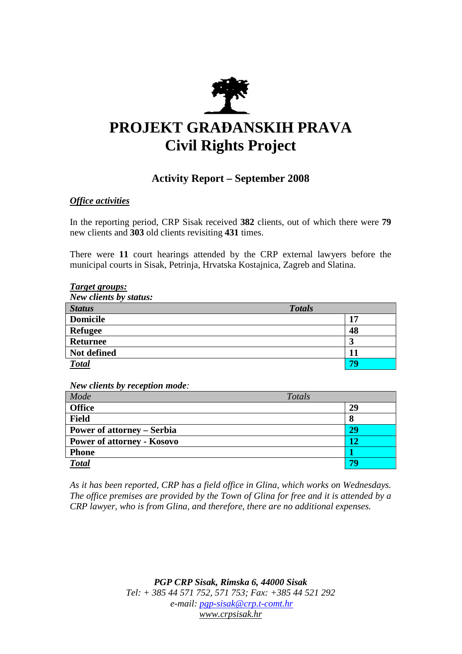

# **PROJEKT GRAĐANSKIH PRAVA Civil Rights Project**

# **Activity Report – September 2008**

## *Office activities*

In the reporting period, CRP Sisak received **382** clients, out of which there were **79**  new clients and **303** old clients revisiting **431** times.

There were **11** court hearings attended by the CRP external lawyers before the municipal courts in Sisak, Petrinja, Hrvatska Kostajnica, Zagreb and Slatina.

#### *Target groups:*

| New clients by status: |               |
|------------------------|---------------|
| <b>Status</b>          | <b>Totals</b> |
| <b>Domicile</b>        | 17            |
| <b>Refugee</b>         | 48            |
| <b>Returnee</b>        |               |
| Not defined            |               |
| <b>Total</b>           | 70            |

*New clients by reception mode:* 

| Mode                              | Totals |
|-----------------------------------|--------|
| <b>Office</b>                     | 29     |
| <b>Field</b>                      | O      |
| <b>Power of attorney – Serbia</b> | 29     |
| <b>Power of attorney - Kosovo</b> | 12     |
| <b>Phone</b>                      |        |
| <b>Total</b>                      |        |

*As it has been reported, CRP has a field office in Glina, which works on Wednesdays. The office premises are provided by the Town of Glina for free and it is attended by a CRP lawyer, who is from Glina, and therefore, there are no additional expenses.* 

> *PGP CRP Sisak, Rimska 6, 44000 Sisak Tel: + 385 44 571 752, 571 753; Fax: +385 44 521 292 e-mail: pgp-sisak@crp.t-comt.hr www.crpsisak.hr*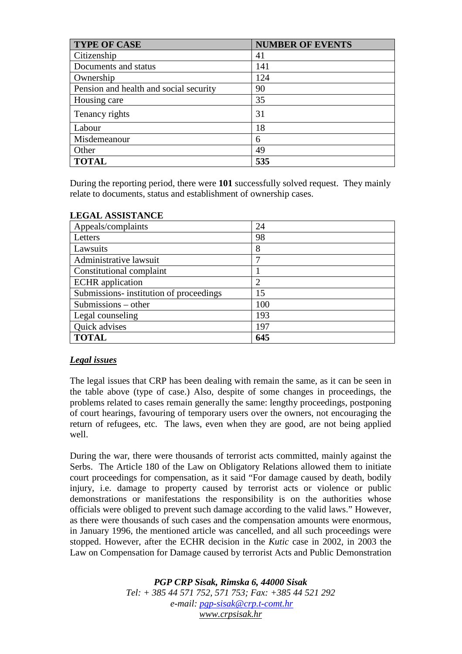| <b>TYPE OF CASE</b>                    | <b>NUMBER OF EVENTS</b> |
|----------------------------------------|-------------------------|
| Citizenship                            | 41                      |
| Documents and status                   | 141                     |
| Ownership                              | 124                     |
| Pension and health and social security | 90                      |
| Housing care                           | 35                      |
| Tenancy rights                         | 31                      |
| Labour                                 | 18                      |
| Misdemeanour                           | 6                       |
| Other                                  | 49                      |
| <b>TOTAL</b>                           | 535                     |

During the reporting period, there were **101** successfully solved request. They mainly relate to documents, status and establishment of ownership cases.

| Appeals/complaints                      | 24             |
|-----------------------------------------|----------------|
| Letters                                 | 98             |
| Lawsuits                                | 8              |
| Administrative lawsuit                  |                |
| Constitutional complaint                |                |
| <b>ECHR</b> application                 | $\overline{2}$ |
| Submissions- institution of proceedings | 15             |
| Submissions – other                     | 100            |
| Legal counseling                        | 193            |
| Quick advises                           | 197            |
| <b>TOTAL</b>                            | 645            |

# **LEGAL ASSISTANCE**

## *Legal issues*

The legal issues that CRP has been dealing with remain the same, as it can be seen in the table above (type of case.) Also, despite of some changes in proceedings, the problems related to cases remain generally the same: lengthy proceedings, postponing of court hearings, favouring of temporary users over the owners, not encouraging the return of refugees, etc. The laws, even when they are good, are not being applied well.

During the war, there were thousands of terrorist acts committed, mainly against the Serbs. The Article 180 of the Law on Obligatory Relations allowed them to initiate court proceedings for compensation, as it said "For damage caused by death, bodily injury, i.e. damage to property caused by terrorist acts or violence or public demonstrations or manifestations the responsibility is on the authorities whose officials were obliged to prevent such damage according to the valid laws." However, as there were thousands of such cases and the compensation amounts were enormous, in January 1996, the mentioned article was cancelled, and all such proceedings were stopped. However, after the ECHR decision in the *Kutic* case in 2002, in 2003 the Law on Compensation for Damage caused by terrorist Acts and Public Demonstration

> *PGP CRP Sisak, Rimska 6, 44000 Sisak Tel: + 385 44 571 752, 571 753; Fax: +385 44 521 292 e-mail: pgp-sisak@crp.t-comt.hr www.crpsisak.hr*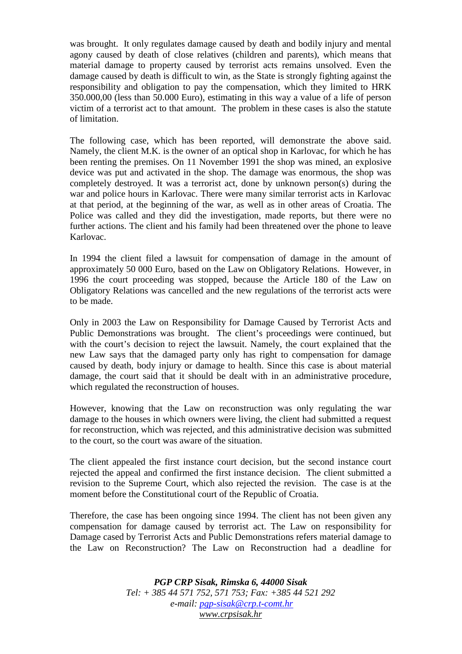was brought. It only regulates damage caused by death and bodily injury and mental agony caused by death of close relatives (children and parents), which means that material damage to property caused by terrorist acts remains unsolved. Even the damage caused by death is difficult to win, as the State is strongly fighting against the responsibility and obligation to pay the compensation, which they limited to HRK 350.000,00 (less than 50.000 Euro), estimating in this way a value of a life of person victim of a terrorist act to that amount. The problem in these cases is also the statute of limitation.

The following case, which has been reported, will demonstrate the above said. Namely, the client M.K. is the owner of an optical shop in Karlovac, for which he has been renting the premises. On 11 November 1991 the shop was mined, an explosive device was put and activated in the shop. The damage was enormous, the shop was completely destroyed. It was a terrorist act, done by unknown person(s) during the war and police hours in Karlovac. There were many similar terrorist acts in Karlovac at that period, at the beginning of the war, as well as in other areas of Croatia. The Police was called and they did the investigation, made reports, but there were no further actions. The client and his family had been threatened over the phone to leave Karlovac.

In 1994 the client filed a lawsuit for compensation of damage in the amount of approximately 50 000 Euro, based on the Law on Obligatory Relations. However, in 1996 the court proceeding was stopped, because the Article 180 of the Law on Obligatory Relations was cancelled and the new regulations of the terrorist acts were to be made.

Only in 2003 the Law on Responsibility for Damage Caused by Terrorist Acts and Public Demonstrations was brought. The client's proceedings were continued, but with the court's decision to reject the lawsuit. Namely, the court explained that the new Law says that the damaged party only has right to compensation for damage caused by death, body injury or damage to health. Since this case is about material damage, the court said that it should be dealt with in an administrative procedure, which regulated the reconstruction of houses.

However, knowing that the Law on reconstruction was only regulating the war damage to the houses in which owners were living, the client had submitted a request for reconstruction, which was rejected, and this administrative decision was submitted to the court, so the court was aware of the situation.

The client appealed the first instance court decision, but the second instance court rejected the appeal and confirmed the first instance decision. The client submitted a revision to the Supreme Court, which also rejected the revision. The case is at the moment before the Constitutional court of the Republic of Croatia.

Therefore, the case has been ongoing since 1994. The client has not been given any compensation for damage caused by terrorist act. The Law on responsibility for Damage cased by Terrorist Acts and Public Demonstrations refers material damage to the Law on Reconstruction? The Law on Reconstruction had a deadline for

> *PGP CRP Sisak, Rimska 6, 44000 Sisak Tel: + 385 44 571 752, 571 753; Fax: +385 44 521 292 e-mail: pgp-sisak@crp.t-comt.hr www.crpsisak.hr*